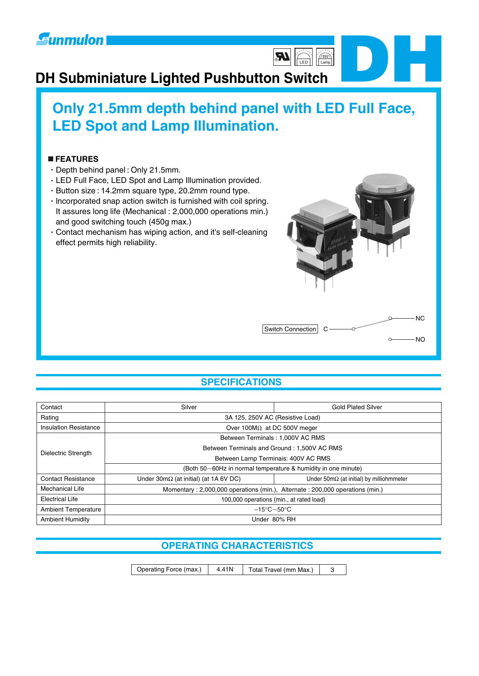

## **DH Subminiature Lighted Pushbutton Switch**

## **Only 21.5mm depth behind panel with LED Full Face, LED Spot and Lamp Illumination.**

**JR** 

 $\begin{bmatrix} 1 & 1 \\ 0 & 0 \\ \hline \end{bmatrix}$ 

## **FEATURES**

- Depth behind panel : Only 21.5mm.
- LED Full Face, LED Spot and Lamp Illumination provided.
- Button size : 14.2mm square type, 20.2mm round type.
- $\cdot$  Incorporated snap action switch is furnished with coil spring. It assures long life (Mechanical : 2,000,000 operations min.) and good switching touch (450g max.)
- Contact mechanism has wiping action, and it's self-cleaning effect permits high reliability.



**DH**

## **SPECIFICATIONS**

| Contact                      | Silver<br><b>Gold Plated Silver</b>                                          |                                                         |  |  |  |  |  |
|------------------------------|------------------------------------------------------------------------------|---------------------------------------------------------|--|--|--|--|--|
| Rating                       |                                                                              | 3A 125, 250V AC (Resistive Load)                        |  |  |  |  |  |
| <b>Insulation Resistance</b> | Over 100M $\Omega$ at DC 500V meger                                          |                                                         |  |  |  |  |  |
|                              | Between Terminals: 1,000V AC RMS                                             |                                                         |  |  |  |  |  |
| Dielectric Strength          | Between Terminals and Ground: 1,500V AC RMS                                  |                                                         |  |  |  |  |  |
|                              | Between Larnp Terminais: 400V AC RMS                                         |                                                         |  |  |  |  |  |
|                              | (Both 50~60Hz in normal temperature & humidity in one minute)                |                                                         |  |  |  |  |  |
| <b>Contact Resistance</b>    | Under $30 \text{m}\Omega$ (at initial) (at 1A 6V DC)                         | Under $50 \text{m}\Omega$ (at initial) by milliohmmeter |  |  |  |  |  |
| Mechanical Life              | Momentary: 2,000,000 operations (min.), Alternate: 200,000 operations (min.) |                                                         |  |  |  |  |  |
| <b>Electrical Life</b>       | 100,000 operations (min., at rated load)                                     |                                                         |  |  |  |  |  |
| <b>Ambient Temperature</b>   |                                                                              | $-15^{\circ}$ C $\sim$ 50 $^{\circ}$ C                  |  |  |  |  |  |
| <b>Ambient Humidity</b>      | Under 80% RH                                                                 |                                                         |  |  |  |  |  |

## **OPERATING CHARACTERISTICS**

Operating Force (max.) | 4.41N | Total Travel (mm Max.) | 3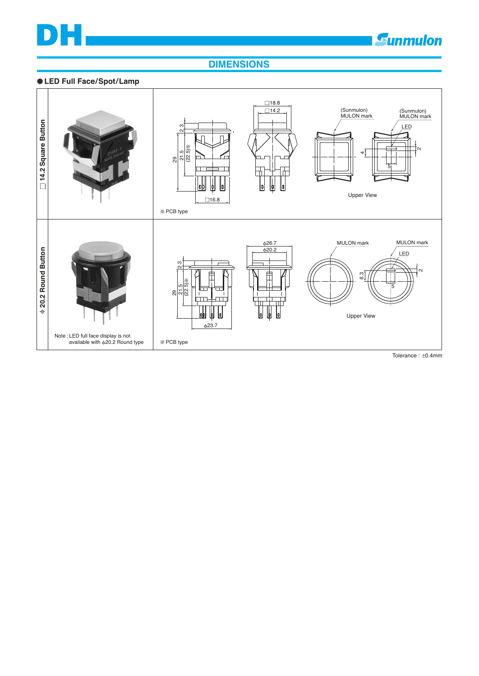## **DIMENSIONS**

## $\bullet$  LED Full Face/Spot/Lamp

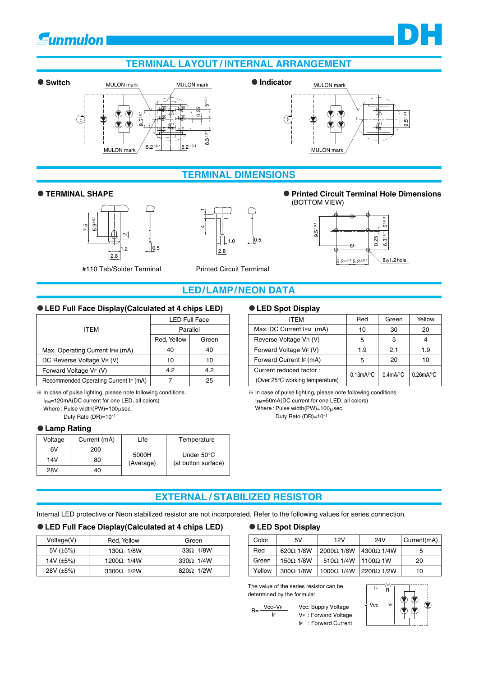## **Gunmulon**

## **TERMINAL LAYOUT / lNTERNAL ARRANGEMENT**







## **TERMINAL DIMENSIONS**





-<br>4<br>4



**DH**



## **LED/LAMP/NEON DATA**

### **LED Full Face Display(Calculated at 4 chips LED)**

|                                       | <b>LED Full Face</b> |       |  |  |
|---------------------------------------|----------------------|-------|--|--|
| ITEM                                  | Parallel             |       |  |  |
|                                       | Red, Yellow          | Green |  |  |
| Max. Operating Current IFM (mA)       | 40                   | 40    |  |  |
| DC Reverse Voltage VR (V)             | 10                   | 10    |  |  |
| Forward Voltage VF (V)                | 4.2                  | 4.2   |  |  |
| Recommended Operating Current IF (mA) |                      | 25    |  |  |

 $*$  In case of pulse lighting, please note following conditions.

IFM=120mA(DC current for one LED, all colors) Where : Pulse width(PW)= $100 \mu$ sec.

Duty Rato (DR)=10<sup>-1</sup>

## **Lamp Rating**

| Voltage | Current (mA) | Life      | Temperature          |
|---------|--------------|-----------|----------------------|
| 6V      | 200          | 5000H     | Under $50^{\circ}$ C |
| 14V     | 80           | (Average) | (at button surface)  |
| 28V     | 40           |           |                      |

## **LED Spot Display**

| ITEM                            | Red                         | Green       | Yellow                 |
|---------------------------------|-----------------------------|-------------|------------------------|
| Max. DC Current IFM (mA)        | 10                          | 30          | 20                     |
| Reverse Voltage VR (V)          | 5                           | 5           |                        |
| Forward Voltage VF (V)          | 1.9                         | 2.1         | 1.9                    |
| Forward Current IF (mA)         | 5                           | 20          | 10                     |
| Current reduced factor:         | $0.13$ m $A$ <sup>o</sup> C | $0.4$ mA/°C | $0.26$ mA/ $\degree$ C |
| (Over 25°C working temperature) |                             |             |                        |

 $*$  In case of pulse lighting, please note following conditions.

IFM=50mA(DC current for one LED, all colors)

Where : Pulse width(PW)= $100 \mu$ sec. Duty Rato (DR)=10<sup>-1</sup>

## **EXTERNAL / STABILIZED RESISTOR**

Internal LED protective or Neon stabilized resistor are not incorporated. Refer to the following values for series connection.

## **LED Full Face Display(Calculated at 4 chips LED)**

| Voltage(V)      | Red, Yellow        | Green             |
|-----------------|--------------------|-------------------|
| 5V $(\pm 5\%)$  | $130\Omega$ $1/8W$ | $33\Omega$ 1/8W   |
| 14V $(\pm 5\%)$ | $1200\Omega$ 1/4W  | 330 $\Omega$ 1/4W |
| 28V $(\pm 5\%)$ | 3300 $\Omega$ 1/2W | $820\Omega$ 1/2W  |

#### **LED Spot Display**

| Color  | 5V               | 12V                                | 24V                        | Current(mA) |
|--------|------------------|------------------------------------|----------------------------|-------------|
| Red    | $620\Omega$ 1/8W | 2000Ω1/8W                          | $ 4300\Omega 1/4W$         | 5           |
| Green  | $150\Omega$ 1/8W | 510 $\Omega$ 1/4W 1100 $\Omega$ 1W |                            | 20          |
| Yellow | $300\Omega$ 1/8W | 1000Ω 1/4W                         | $\frac{12200\Omega}{1/2W}$ | 10          |

The value of the series resistor can be determined by the formula:

 $R = \frac{Vcc - VF}{Vc}$ IF



VF : Forward Voltage IF : Forward Current

Vcc: Supply Voltage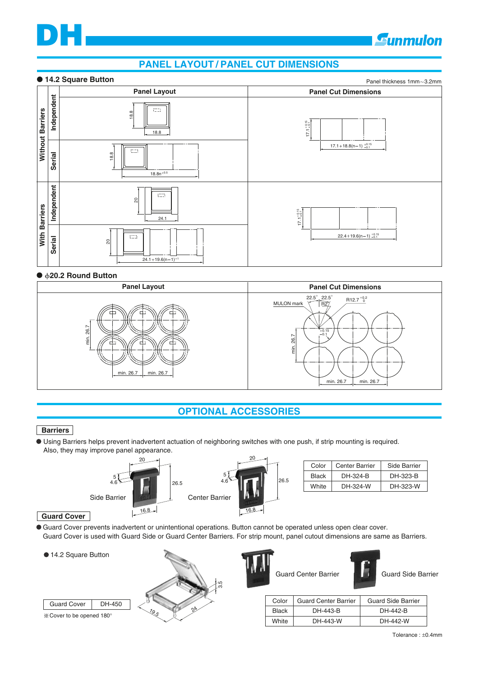# **DH**

## **PANEL LAYOUT / PANEL CUT DIMENSIONS**

## **14.2 Square Button**



## ● **b20.2 Round Button**



## **OPTIONAL ACCESSORIES**

## **Barriers**

Using Barriers helps prevent inadvertent actuation of neighboring switches with one push, if strip mounting is required. Also, they may improve panel appearance.



| Color        | <b>Center Barrier</b> | Side Barrier |
|--------------|-----------------------|--------------|
| <b>Black</b> | DH-324-B              | DH-323-B     |
| White        | DH-324-W              | DH-323-W     |

## **Guard Cover**

Guard Cover prevents inadvertent or unintentional operations. Button cannot be operated unless open clear cover. Guard Cover is used with Guard Side or Guard Center Barriers. For strip mount, panel cutout dimensions are same as Barriers.

● 14.2 Square Button



| <b>Guard Cer</b> |
|------------------|
|                  |

26.5



| Guard Side Barrie |  |
|-------------------|--|
|                   |  |

Sunmulon

| Color        | <b>Guard Center Barrier</b> | <b>Guard Side Barrier</b> |
|--------------|-----------------------------|---------------------------|
| <b>Black</b> | DH-443-B                    | DH-442-B                  |
| White        | DH-443-W                    | DH-442-W                  |

Tolerance : ±0.4mm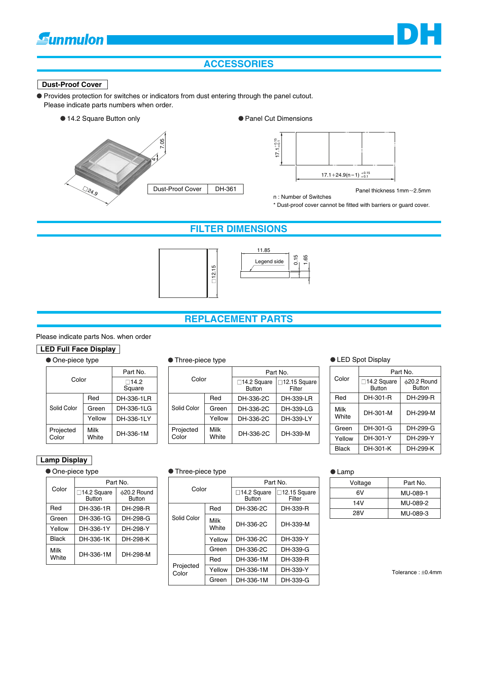## **Gunmulon**

## **ACCESSORIES**

### **Dust-Proof Cover**

Provides protection for switches or indicators from dust entering through the panel cutout. Please indicate parts numbers when order.







Panel thickness 1mm~2.5mm

**DH**

n : Number of Switches \* Dust-proof cover cannot be fitted with barriers or guard cover.

## **FILTER DIMENSIONS**





## **REPLACEMENT PARTS**

## Please indicate parts Nos. when order

## **LED Full Face Display**

|  | • One-piece type |                   |                 | • Three-piece type |          |                              |                                  |          | ● LED Spot Display                   |
|--|------------------|-------------------|-----------------|--------------------|----------|------------------------------|----------------------------------|----------|--------------------------------------|
|  |                  | Part No.          |                 |                    | Part No. |                              |                                  |          |                                      |
|  | Color            |                   | □14.2<br>Square | Color              |          | $\Box$ 14.2 Square<br>Button | $\square$ 12.15 Square<br>Filter | Color    | $\square$ 14.2 Squa<br><b>Button</b> |
|  |                  | Red               | DH-336-1LR      |                    | Red      | DH-336-2C                    | DH-339-LR                        | Red      | DH-301-R                             |
|  | Solid Color      | Green             | DH-336-1LG      | Solid Color        | Green    | DH-336-2C                    | DH-339-LG                        | Milk     | DH-301-M                             |
|  |                  | Yellow            | DH-336-1LY      |                    | Yellow   | DH-336-2C                    | DH-339-LY                        | White    |                                      |
|  | Projected        | Milk<br>DH-336-1M | Projected       | Milk               |          | DH-336-2C<br>DH-339-M        | Green                            | DH-301-G |                                      |
|  | Color            | White             |                 | Color              | White    |                              |                                  | Yellow   | DH-301-Y                             |

| Part No.                 |                    |                      |                                        | Part No.                         |
|--------------------------|--------------------|----------------------|----------------------------------------|----------------------------------|
| $\square$ 14.2<br>Square | Color              |                      | $\square$ 14.2 Square<br><b>Button</b> | $\square$ 12.15 Square<br>Filter |
| DH-336-1LR               |                    | Red                  | DH-336-2C                              | DH-339-LR                        |
| DH-336-1LG               | Solid Color        | Green                | DH-336-2C                              | DH-339-LG                        |
| DH-336-1LY               |                    | Yellow               | DH-336-2C                              | DH-339-LY                        |
| DH-336-1M                | Projected<br>Color | <b>Milk</b><br>White | DH-336-2C                              | DH-339-M                         |
|                          |                    |                      |                                        |                                  |

|               | Part No.                            |                                    |  |
|---------------|-------------------------------------|------------------------------------|--|
| Color         | $\Box$ 14.2 Square<br><b>Button</b> | $\phi$ 20.2 Round<br><b>Button</b> |  |
| Red           | DH-301-R                            | DH-299-R                           |  |
| Milk<br>White | DH-301-M<br>DH-299-M                |                                    |  |
| Green         | DH-301-G                            | DH-299-G                           |  |
| Yellow        | DH-301-Y                            | DH-299-Y                           |  |
| Black         | DH-301-K                            | DH-299-K                           |  |

## **Lamp Display**

## $\bullet$  One-piece type

|               | Part No.                      |                                  |  |
|---------------|-------------------------------|----------------------------------|--|
| Color         | □14.2 Square<br><b>Button</b> | $\&$ 20.2 Round<br><b>Button</b> |  |
| Red           | DH-336-1R                     | DH-298-R                         |  |
| Green         | DH-336-1G                     | DH-298-G                         |  |
| Yellow        | DH-336-1Y                     | DH-298-Y                         |  |
| Black         | DH-336-1K                     | DH-298-K                         |  |
| Milk<br>White | DH-336-1M                     | DH-298-M                         |  |

| • Three-piece type |               |                                        |                         |  |  |
|--------------------|---------------|----------------------------------------|-------------------------|--|--|
| Color              |               | Part No.                               |                         |  |  |
|                    |               | $\square$ 14.2 Square<br><b>Button</b> | □12.15 Square<br>Filter |  |  |
| Solid Color        | Red           | DH-336-2C                              | DH-339-R                |  |  |
|                    | Milk<br>White | DH-336-2C                              | DH-339-M                |  |  |
|                    | Yellow        | DH-336-2C                              | DH-339-Y                |  |  |
|                    | Green         | DH-336-2C                              | DH-339-G                |  |  |
| Projected<br>Color | Red           | DH-336-1M                              | DH-339-R                |  |  |
|                    | Yellow        | DH-336-1M                              | DH-339-Y                |  |  |
|                    | Green         | DH-336-1M                              | DH-339-G                |  |  |

● Lamp

| Voltage | Part No. |  |
|---------|----------|--|
| 6V      | MU-089-1 |  |
| 14V     | MU-089-2 |  |
| 28V     | MU-089-3 |  |

Tolerance : ±0.4mm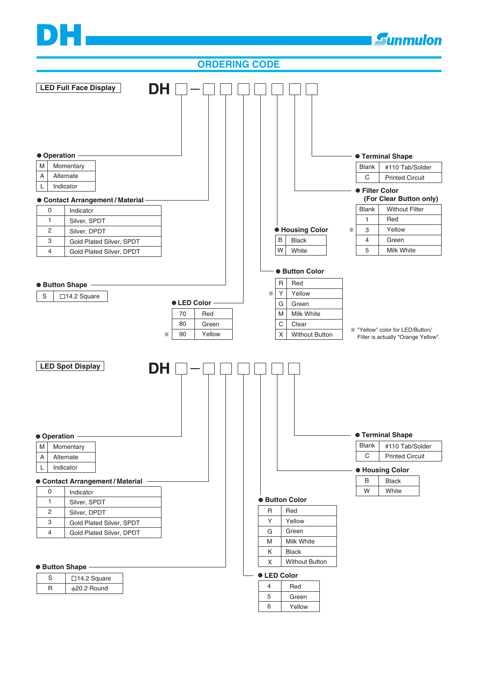# **DH**



6

Green Yellow